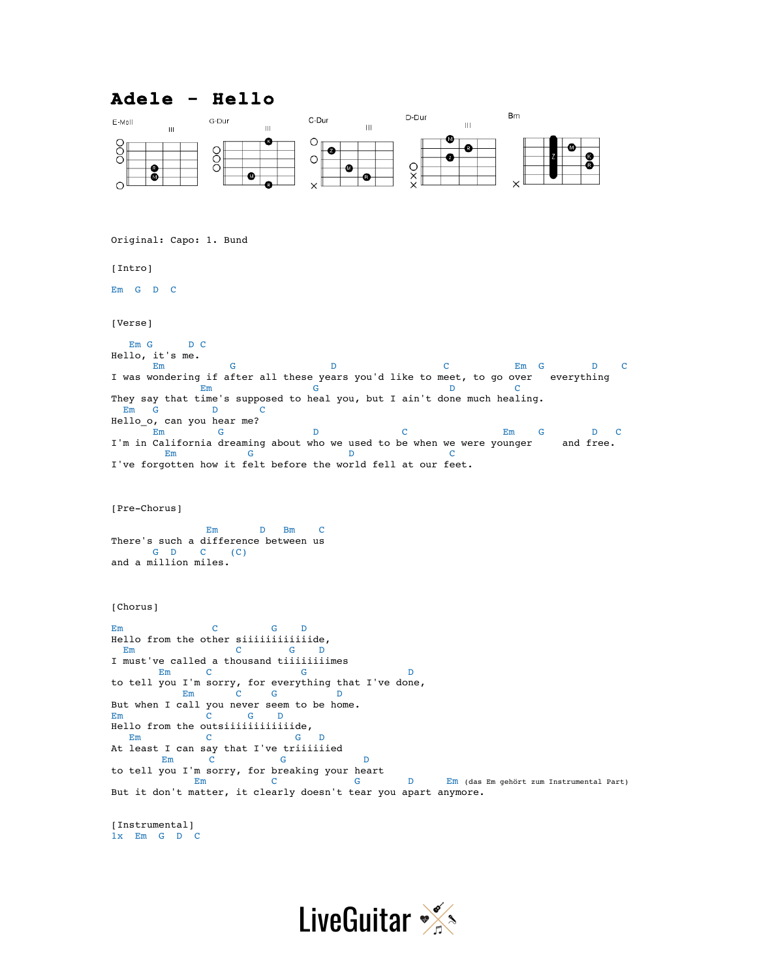## **Adele - Hello**



```
Original: Capo: 1. Bund
```
[Intro]

Em G D C

[Verse]

 Em G D C Hello, it's me.<br> $\frac{E}{E}$  Em G D C Em G D C I was wondering if after all these years you'd like to meet, to go over everything  $\begin{array}{ccc}\n\mathbb{E}\mathbb{m} & \mathbb{G} & \mathbb{D}\n\end{array}$ Em G D C They say that time's supposed to heal you, but I ain't done much healing. Em G D C Hello\_o, can you hear me? Em G D D C Em G D C I'm in California dreaming about who we used to be when we were younger and free. Em G D C I've forgotten how it felt before the world fell at our feet.

[Pre-Chorus]

 Em D Bm C There's such a difference between us  $G \cup D \cup C$  (C) and a million miles.

[Chorus]

```
Em C G D
Hello from the other siiiiiiiiiiiide,
Em C G D
I must've called a thousand tiiiiiiiimes 
Em C G D
to tell you I'm sorry, for everything that I've done, 
  Em C G D
But when I call you never seem to be home.
Em C G D
Hello from the outsiiiiiiiiiiiide,
 Em C G D
At least I can say that I've triiiiiied 
   Em C G D
to tell you I'm sorry, for breaking your heart<br>
E_m C
       Em C G D Em (das Em gehört zum Instrumental Part)
But it don't matter, it clearly doesn't tear you apart anymore.
```
[Instrumental] 1x Em G D C